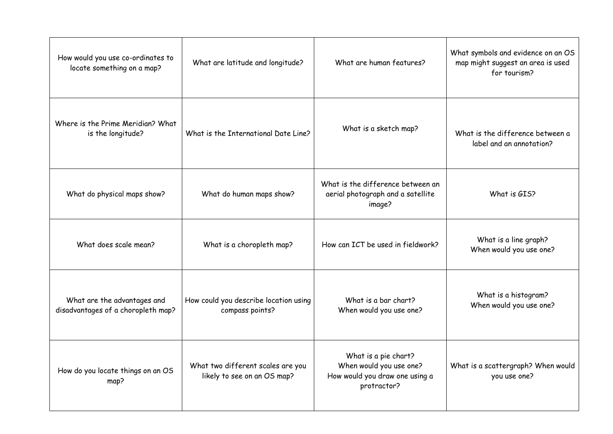| How would you use co-ordinates to<br>locate something on a map?   | What are latitude and longitude?                                 | What are human features?                                                                         | Who<br>mo |
|-------------------------------------------------------------------|------------------------------------------------------------------|--------------------------------------------------------------------------------------------------|-----------|
| Where is the Prime Meridian? What<br>is the longitude?            | What is the International Date Line?                             | What is a sketch map?                                                                            | W         |
| What do physical maps show?                                       | What do human maps show?                                         | What is the difference between an<br>aerial photograph and a satellite<br>image?                 |           |
| What does scale mean?                                             | What is a choropleth map?                                        | How can ICT be used in fieldwork?                                                                |           |
| What are the advantages and<br>disadvantages of a choropleth map? | How could you describe location using<br>compass points?         | What is a bar chart?<br>When would you use one?                                                  |           |
| How do you locate things on an OS<br>map?                         | What two different scales are you<br>likely to see on an OS map? | What is a pie chart?<br>When would you use one?<br>How would you draw one using a<br>protractor? | Who       |

 $\alpha$  symbols and evidence on an OS map might suggest an area is used for tourism? /hat is the difference between a label and an annotation? What is GIS? What is a line graph? When would you use one? What is a histogram? When would you use one? nat is a scattergraph? When would you use one?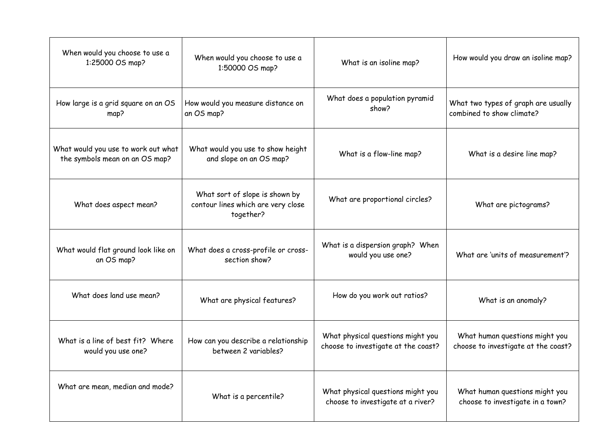

| When would you choose to use a<br>1:25000 OS map?                     | When would you choose to use a<br>1:50000 OS map?                                 | What is an isoline map?                                                  | Ho                |
|-----------------------------------------------------------------------|-----------------------------------------------------------------------------------|--------------------------------------------------------------------------|-------------------|
| How large is a grid square on an OS<br>map?                           | How would you measure distance on<br>an OS map?                                   | What does a population pyramid<br>show?                                  | Who<br>com        |
| What would you use to work out what<br>the symbols mean on an OS map? | What would you use to show height<br>and slope on an OS map?                      | What is a flow-line map?                                                 |                   |
| What does aspect mean?                                                | What sort of slope is shown by<br>contour lines which are very close<br>together? | What are proportional circles?                                           |                   |
| What would flat ground look like on<br>an OS map?                     | What does a cross-profile or cross-<br>section show?                              | What is a dispersion graph? When<br>would you use one?                   | W                 |
| What does land use mean?                                              | What are physical features?                                                       | How do you work out ratios?                                              |                   |
| What is a line of best fit? Where<br>would you use one?               | How can you describe a relationship<br>between 2 variables?                       | What physical questions might you<br>choose to investigate at the coast? | N<br>cho          |
| What are mean, median and mode?                                       | What is a percentile?                                                             | What physical questions might you<br>choose to investigate at a river?   | N<br>$\mathsf{C}$ |

What human questions might you choose to investigate in a town?